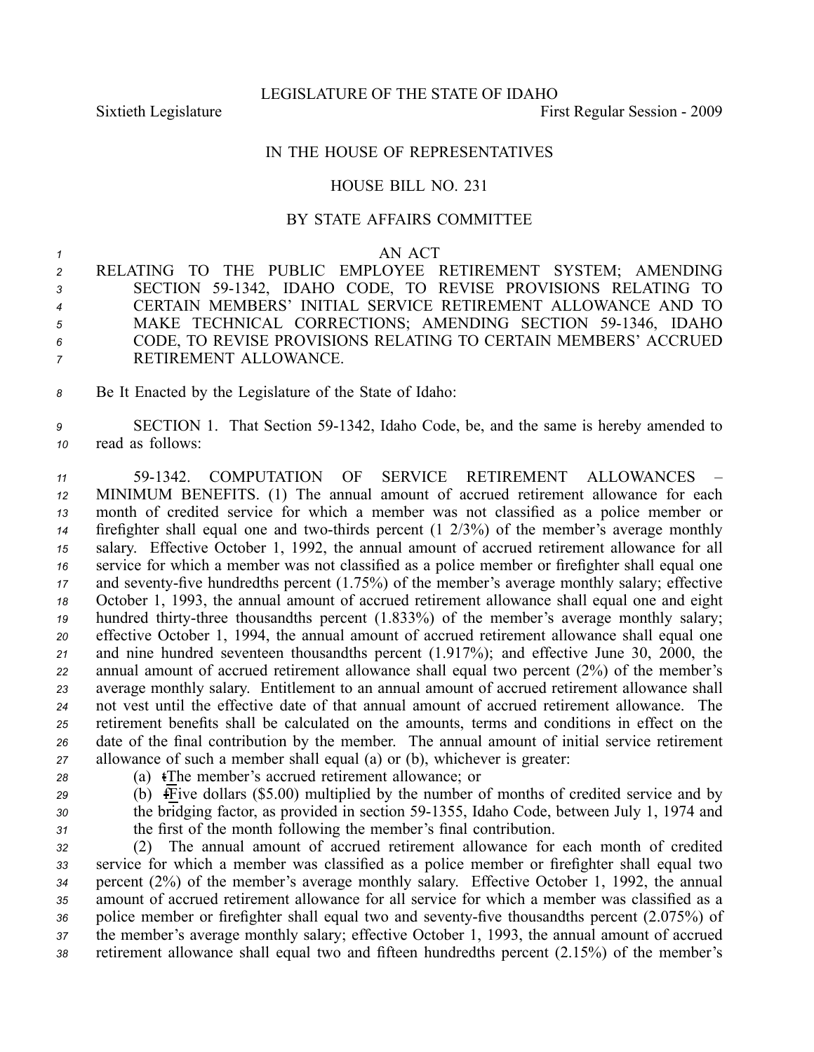LEGISLATURE OF THE STATE OF IDAHO

Sixtieth Legislature First Regular Session - 2009

## IN THE HOUSE OF REPRESENTATIVES

## HOUSE BILL NO. 231

## BY STATE AFFAIRS COMMITTEE

## *1* AN ACT

 RELATING TO THE PUBLIC EMPLOYEE RETIREMENT SYSTEM; AMENDING SECTION 591342, IDAHO CODE, TO REVISE PROVISIONS RELATING TO CERTAIN MEMBERS' INITIAL SERVICE RETIREMENT ALLOWANCE AND TO 5 MAKE TECHNICAL CORRECTIONS; AMENDING SECTION 59-1346, IDAHO CODE, TO REVISE PROVISIONS RELATING TO CERTAIN MEMBERS' ACCRUED RETIREMENT ALLOWANCE.

*<sup>8</sup>* Be It Enacted by the Legislature of the State of Idaho:

*<sup>9</sup>* SECTION 1. That Section 591342, Idaho Code, be, and the same is hereby amended to *<sup>10</sup>* read as follows:

 591342. COMPUTATION OF SERVICE RETIREMENT ALLOWANCES – MINIMUM BENEFITS. (1) The annual amount of accrued retirement allowance for each month of credited service for which <sup>a</sup> member was not classified as <sup>a</sup> police member or firefighter shall equal one and two-thirds percent  $(1 \t2/3%)$  of the member's average monthly salary. Effective October 1, 1992, the annual amount of accrued retirement allowance for all service for which <sup>a</sup> member was not classified as <sup>a</sup> police member or firefighter shall equal one 17 and seventy-five hundredths percent (1.75%) of the member's average monthly salary; effective October 1, 1993, the annual amount of accrued retirement allowance shall equal one and eight hundred thirty-three thousandths percent (1.833%) of the member's average monthly salary; effective October 1, 1994, the annual amount of accrued retirement allowance shall equal one and nine hundred seventeen thousandths percen<sup>t</sup> (1.917%); and effective June 30, 2000, the annual amount of accrued retirement allowance shall equal two percen<sup>t</sup> (2%) of the member's average monthly salary. Entitlement to an annual amount of accrued retirement allowance shall not vest until the effective date of that annual amount of accrued retirement allowance. The retirement benefits shall be calculated on the amounts, terms and conditions in effect on the date of the final contribution by the member. The annual amount of initial service retirement allowance of such <sup>a</sup> member shall equal (a) or (b), whichever is greater:

- 
- *<sup>28</sup>* (a) tThe member's accrued retirement allowance; or
- *<sup>29</sup>* (b) fFive dollars (\$5.00) multiplied by the number of months of credited service and by 30 the bridging factor, as provided in section 59-1355, Idaho Code, between July 1, 1974 and *<sup>31</sup>* the first of the month following the member's final contribution.

 (2) The annual amount of accrued retirement allowance for each month of credited service for which <sup>a</sup> member was classified as <sup>a</sup> police member or firefighter shall equal two percen<sup>t</sup> (2%) of the member's average monthly salary. Effective October 1, 1992, the annual amount of accrued retirement allowance for all service for which <sup>a</sup> member was classified as <sup>a</sup> 36 police member or firefighter shall equal two and seventy-five thousandths percent (2.075%) of the member's average monthly salary; effective October 1, 1993, the annual amount of accrued retirement allowance shall equal two and fifteen hundredths percen<sup>t</sup> (2.15%) of the member's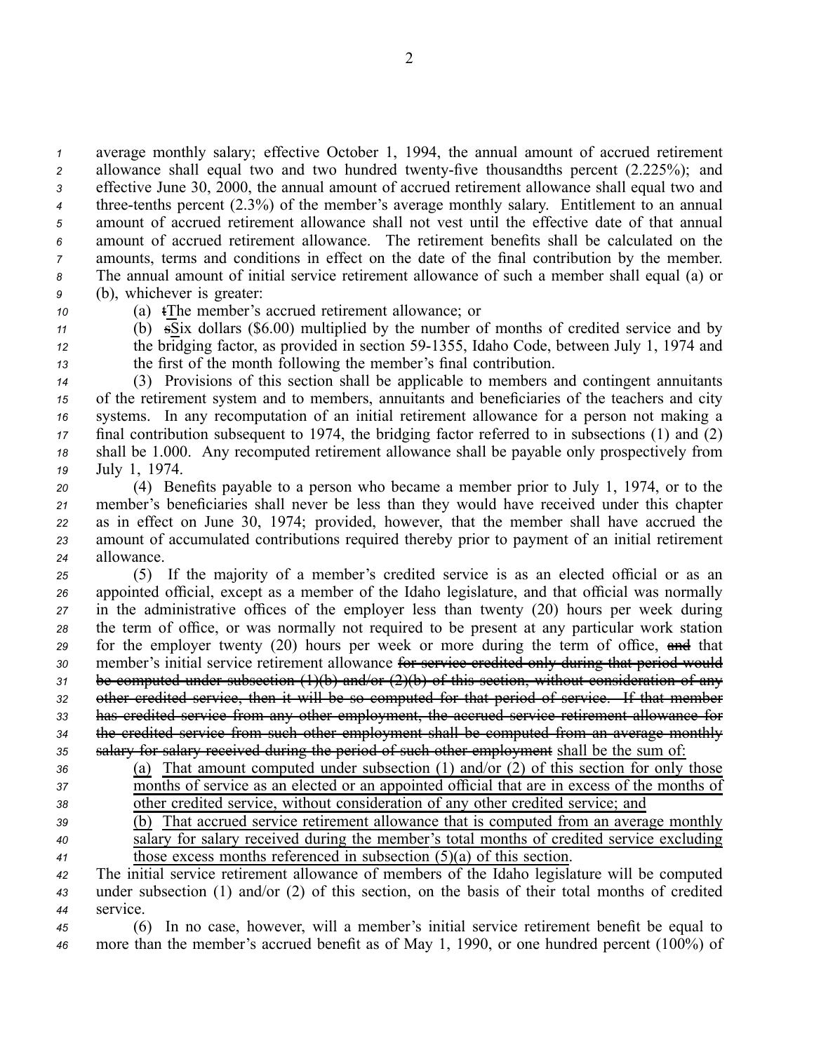average monthly salary; effective October 1, 1994, the annual amount of accrued retirement 2 allowance shall equal two and two hundred twenty-five thousandths percent (2.225%); and effective June 30, 2000, the annual amount of accrued retirement allowance shall equal two and <sup>4</sup> three-tenths percent (2.3%) of the member's average monthly salary. Entitlement to an annual amount of accrued retirement allowance shall not vest until the effective date of that annual amount of accrued retirement allowance. The retirement benefits shall be calculated on the amounts, terms and conditions in effect on the date of the final contribution by the member. The annual amount of initial service retirement allowance of such <sup>a</sup> member shall equal (a) or (b), whichever is greater:

*<sup>10</sup>* (a) tThe member's accrued retirement allowance; or

 $11$  (b)  $\overline{s}$ Six dollars (\$6.00) multiplied by the number of months of credited service and by *<sup>12</sup>* the bridging factor, as provided in section 591355, Idaho Code, between July 1, 1974 and *<sup>13</sup>* the first of the month following the member's final contribution.

 (3) Provisions of this section shall be applicable to members and contingent annuitants of the retirement system and to members, annuitants and beneficiaries of the teachers and city systems. In any recomputation of an initial retirement allowance for <sup>a</sup> person not making <sup>a</sup> final contribution subsequent to 1974, the bridging factor referred to in subsections (1) and (2) shall be 1.000. Any recomputed retirement allowance shall be payable only prospectively from July 1, 1974.

 (4) Benefits payable to <sup>a</sup> person who became <sup>a</sup> member prior to July 1, 1974, or to the member's beneficiaries shall never be less than they would have received under this chapter as in effect on June 30, 1974; provided, however, that the member shall have accrued the amount of accumulated contributions required thereby prior to paymen<sup>t</sup> of an initial retirement allowance.

 (5) If the majority of <sup>a</sup> member's credited service is as an elected official or as an appointed official, excep<sup>t</sup> as <sup>a</sup> member of the Idaho legislature, and that official was normally in the administrative offices of the employer less than twenty (20) hours per week during the term of office, or was normally not required to be presen<sup>t</sup> at any particular work station for the employer twenty (20) hours per week or more during the term of office, and that member's initial service retirement allowance for service credited only during that period would be computed under subsection (1)(b) and/or (2)(b) of this section, without consideration of any other credited service, then it will be so computed for that period of service. If that member has credited service from any other employment, the accrued service retirement allowance for the credited service from such other employment shall be computed from an average monthly 35 salary for salary received during the period of such other employment shall be the sum of:

- *<sup>36</sup>* (a) That amount computed under subsection (1) and/or (2) of this section for only those *<sup>37</sup>* months of service as an elected or an appointed official that are in excess of the months of
- *<sup>38</sup>* other credited service, without consideration of any other credited service; and
- 

*<sup>39</sup>* (b) That accrued service retirement allowance that is computed from an average monthly *<sup>40</sup>* salary for salary received during the member's total months of credited service excluding *<sup>41</sup>* those excess months referenced in subsection (5)(a) of this section.

- *<sup>42</sup>* The initial service retirement allowance of members of the Idaho legislature will be computed *<sup>43</sup>* under subsection (1) and/or (2) of this section, on the basis of their total months of credited
- *<sup>44</sup>* service.

*<sup>45</sup>* (6) In no case, however, will <sup>a</sup> member's initial service retirement benefit be equal to *<sup>46</sup>* more than the member's accrued benefit as of May 1, 1990, or one hundred percen<sup>t</sup> (100%) of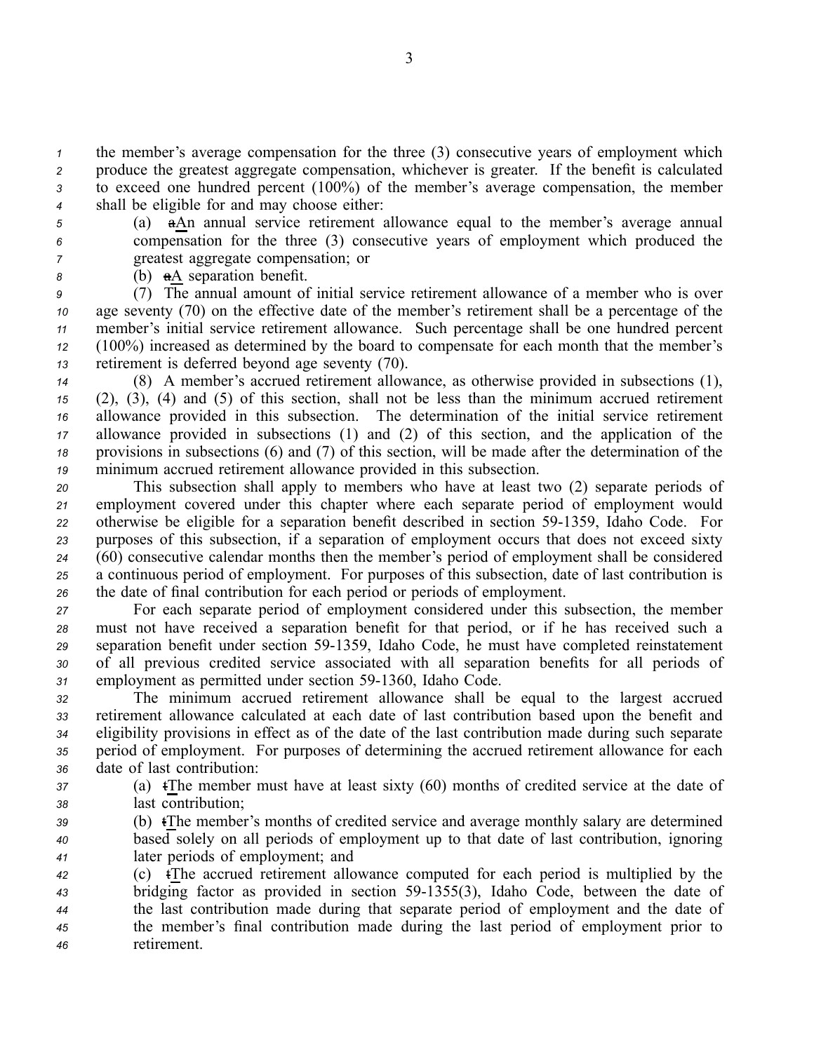the member's average compensation for the three (3) consecutive years of employment which produce the greatest aggregate compensation, whichever is greater. If the benefit is calculated to exceed one hundred percen<sup>t</sup> (100%) of the member's average compensation, the member shall be eligible for and may choose either:

*<sup>5</sup>* (a) aAn annual service retirement allowance equal to the member's average annual *<sup>6</sup>* compensation for the three (3) consecutive years of employment which produced the *<sup>7</sup>* greatest aggregate compensation; or

*<sup>8</sup>* (b) aA separation benefit.

 (7) The annual amount of initial service retirement allowance of <sup>a</sup> member who is over age seventy (70) on the effective date of the member's retirement shall be <sup>a</sup> percentage of the member's initial service retirement allowance. Such percentage shall be one hundred percen<sup>t</sup> (100%) increased as determined by the board to compensate for each month that the member's retirement is deferred beyond age seventy (70).

 (8) A member's accrued retirement allowance, as otherwise provided in subsections (1), (2), (3), (4) and (5) of this section, shall not be less than the minimum accrued retirement allowance provided in this subsection. The determination of the initial service retirement allowance provided in subsections (1) and (2) of this section, and the application of the provisions in subsections (6) and (7) of this section, will be made after the determination of the minimum accrued retirement allowance provided in this subsection.

 This subsection shall apply to members who have at least two (2) separate periods of employment covered under this chapter where each separate period of employment would 22 otherwise be eligible for a separation benefit described in section 59-1359, Idaho Code. For purposes of this subsection, if <sup>a</sup> separation of employment occurs that does not exceed sixty (60) consecutive calendar months then the member's period of employment shall be considered <sup>a</sup> continuous period of employment. For purposes of this subsection, date of last contribution is the date of final contribution for each period or periods of employment.

*<sup>27</sup>* For each separate period of employment considered under this subsection, the member *<sup>28</sup>* must not have received <sup>a</sup> separation benefit for that period, or if he has received such <sup>a</sup> 29 separation benefit under section 59-1359, Idaho Code, he must have completed reinstatement *<sup>30</sup>* of all previous credited service associated with all separation benefits for all periods of 31 employment as permitted under section 59-1360, Idaho Code.

 The minimum accrued retirement allowance shall be equal to the largest accrued retirement allowance calculated at each date of last contribution based upon the benefit and eligibility provisions in effect as of the date of the last contribution made during such separate period of employment. For purposes of determining the accrued retirement allowance for each date of last contribution:

*<sup>37</sup>* (a) tThe member must have at least sixty (60) months of credited service at the date of *<sup>38</sup>* last contribution;

*<sup>39</sup>* (b) tThe member's months of credited service and average monthly salary are determined *<sup>40</sup>* based solely on all periods of employment up to that date of last contribution, ignoring *<sup>41</sup>* later periods of employment; and

 (c) tThe accrued retirement allowance computed for each period is multiplied by the 43 bridging factor as provided in section 59-1355(3), Idaho Code, between the date of the last contribution made during that separate period of employment and the date of the member's final contribution made during the last period of employment prior to retirement.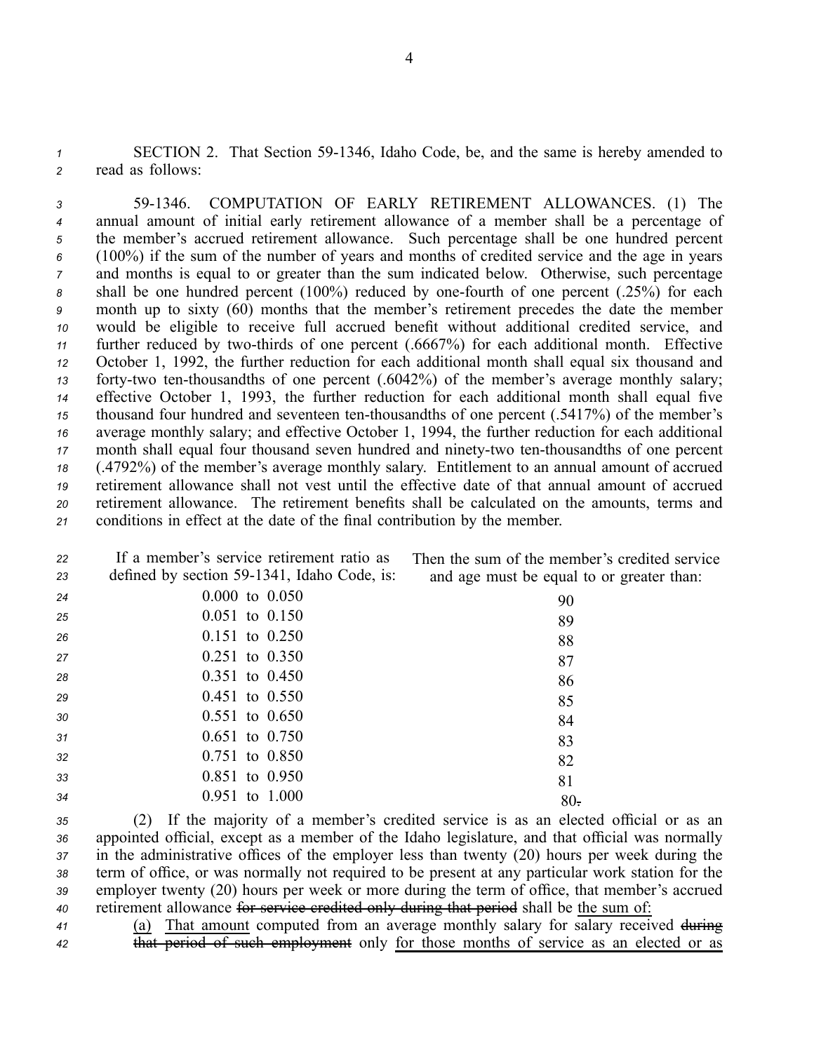1 SECTION 2. That Section 59-1346, Idaho Code, be, and the same is hereby amended to *<sup>2</sup>* read as follows:

 591346. COMPUTATION OF EARLY RETIREMENT ALLOWANCES. (1) The annual amount of initial early retirement allowance of <sup>a</sup> member shall be <sup>a</sup> percentage of the member's accrued retirement allowance. Such percentage shall be one hundred percen<sup>t</sup> (100%) if the sum of the number of years and months of credited service and the age in years and months is equal to or greater than the sum indicated below. Otherwise, such percentage 8 shall be one hundred percent (100%) reduced by one-fourth of one percent (.25%) for each month up to sixty (60) months that the member's retirement precedes the date the member would be eligible to receive full accrued benefit without additional credited service, and 11 further reduced by two-thirds of one percent (.6667%) for each additional month. Effective October 1, 1992, the further reduction for each additional month shall equal six thousand and forty-two ten-thousandths of one percent (.6042%) of the member's average monthly salary; effective October 1, 1993, the further reduction for each additional month shall equal five thousand four hundred and seventeen ten-thousandths of one percent (.5417%) of the member's average monthly salary; and effective October 1, 1994, the further reduction for each additional month shall equal four thousand seven hundred and ninety-two ten-thousandths of one percent (.4792%) of the member's average monthly salary. Entitlement to an annual amount of accrued retirement allowance shall not vest until the effective date of that annual amount of accrued retirement allowance. The retirement benefits shall be calculated on the amounts, terms and conditions in effect at the date of the final contribution by the member.

| 22<br>23 | If a member's service retirement ratio as<br>defined by section 59-1341, Idaho Code, is: | Then the sum of the member's credited service<br>and age must be equal to or greater than: |
|----------|------------------------------------------------------------------------------------------|--------------------------------------------------------------------------------------------|
| 24       | $0.000$ to $0.050$                                                                       | 90                                                                                         |
| 25       | $0.051$ to $0.150$                                                                       | 89                                                                                         |
| 26       | $0.151$ to $0.250$                                                                       | 88                                                                                         |
| 27       | $0.251$ to $0.350$                                                                       | 87                                                                                         |
| 28       | $0.351$ to $0.450$                                                                       | 86                                                                                         |
| 29       | $0.451$ to $0.550$                                                                       | 85                                                                                         |
| 30       | $0.551$ to $0.650$                                                                       | 84                                                                                         |
| 31       | $0.651$ to $0.750$                                                                       | 83                                                                                         |
| 32       | $0.751$ to $0.850$                                                                       | 82                                                                                         |
| 33       | $0.851$ to $0.950$                                                                       | 81                                                                                         |
| 34       | $0.951$ to $1.000$                                                                       | $80 -$                                                                                     |
|          |                                                                                          |                                                                                            |

 (2) If the majority of <sup>a</sup> member's credited service is as an elected official or as an appointed official, excep<sup>t</sup> as <sup>a</sup> member of the Idaho legislature, and that official was normally in the administrative offices of the employer less than twenty (20) hours per week during the term of office, or was normally not required to be presen<sup>t</sup> at any particular work station for the employer twenty (20) hours per week or more during the term of office, that member's accrued retirement allowance for service credited only during that period shall be the sum of:

*<sup>41</sup>* (a) That amount computed from an average monthly salary for salary received during <sup>42</sup> that period of such employment only for those months of service as an elected or as